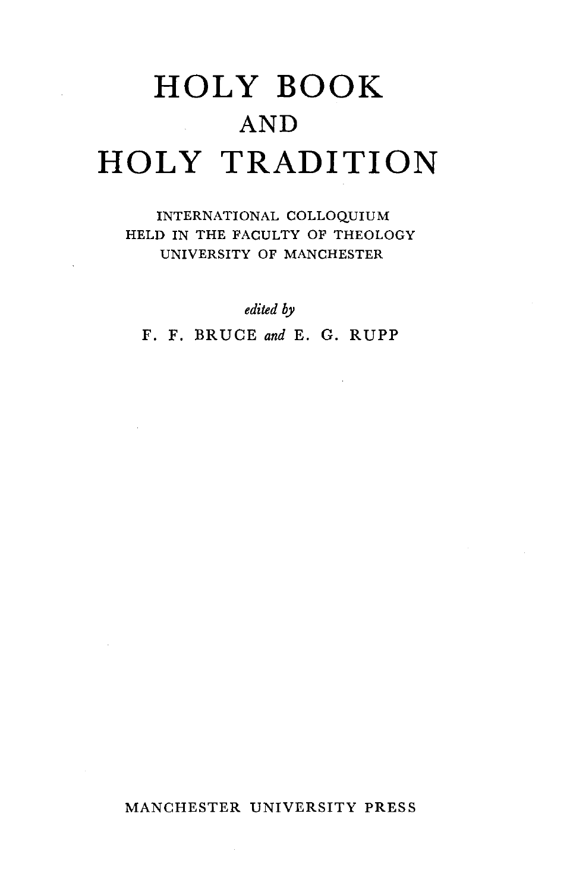# **HOLY BOOK AND HOLY TRADITION**

INTERNATIONAL COLLOQUIUM HELD IN THE FACULTY OF THEOLOGY UNIVERSITY OF MANCHESTER

*edited by* 

F. F. BRUCE *and* E. G. RUPP

## MANCHESTER UNIVERSITY PRESS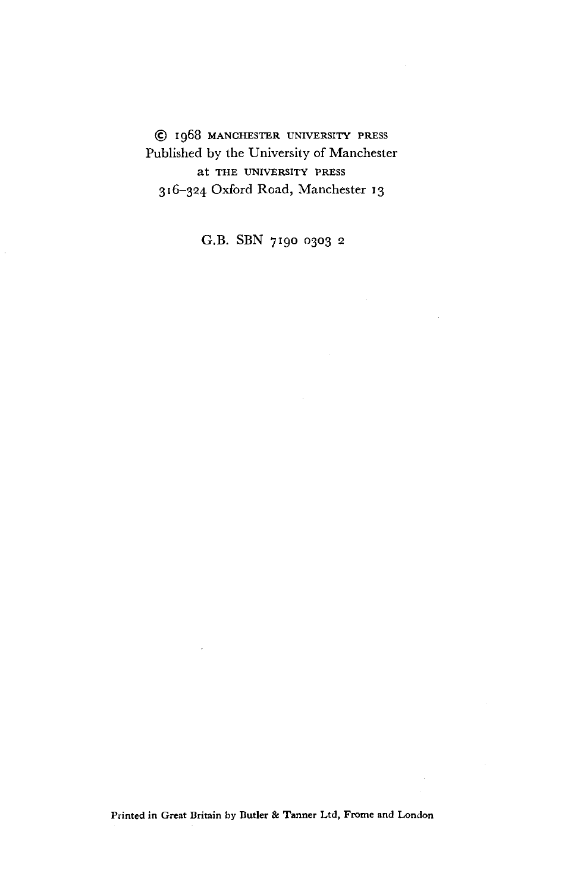@ I 968 MANCHESTER UNIVERSITY PRESS Published by the University of Manchester at THE UNIVERSITY PRESS 316-324 Oxford Road, Manchester 13

G.B. SBN 7190 0303 <sup>2</sup>

Printed in Great Britain by Butler & Tanner Ltd, Frome and London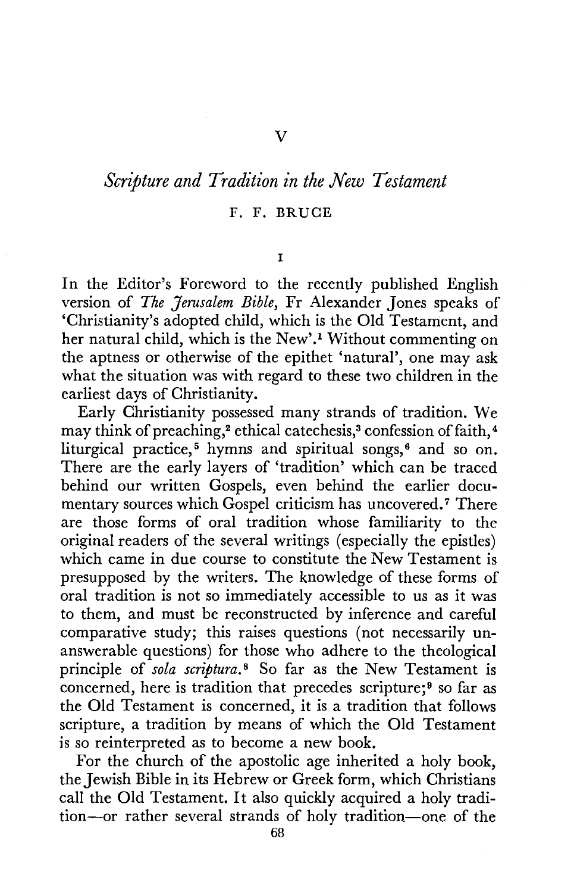# *Scripture and Tradition in the New Testament*

### F. **F. BRUCE**

I

In the Editor's Foreword to the recently published English version of *The Jerusalem Bible,* Fr Alexander Jones speaks of 'Christianity's adopted child, which is the Old Testament, and her natural child, which is the New'.1 Without commenting on the aptness or otherwise of the epithet 'natural', one may ask what the situation was with regard to these two children in the earliest days of Christianity.

Early Christianity possessed many strands of tradition. We may think of preaching,<sup>2</sup> ethical catechesis,<sup>3</sup> confession of faith,<sup>4</sup> liturgical practice,<sup>5</sup> hymns and spiritual songs,<sup>6</sup> and so on. There are the early layers of 'tradition' which can be traced behind our written Gospels, even behind the earlier documentary sources which Gospel criticism has uncovered.<sup>7</sup> There are those forms of oral tradition whose familiarity to the original readers of the several writings ( especially the epistles) which came in due course to constitute the New Testament is presupposed by the writers. The knowledge of these forms of oral tradition is not so immediately accessible to us as it was to them, and must be reconstructed by inference and careful comparative study; this raises questions (not necessarily unanswerable questions) for those who adhere to the theological principle of *sola scriptura.* 8 So far as the New Testament is concerned, here is tradition that precedes scripture;<sup>9</sup> so far as the Old Testament is concerned, it is a tradition that follows scripture, a tradition by means of which the Old Testament is so reinterpreted as to become a new book.

For the church of the apostolic age inherited a holy book, the Jewish Bible in its Hebrew or Greek form, which Christians call the Old Testament. It also quickly acquired a holy tradition-or rather several strands of holy tradition-one of the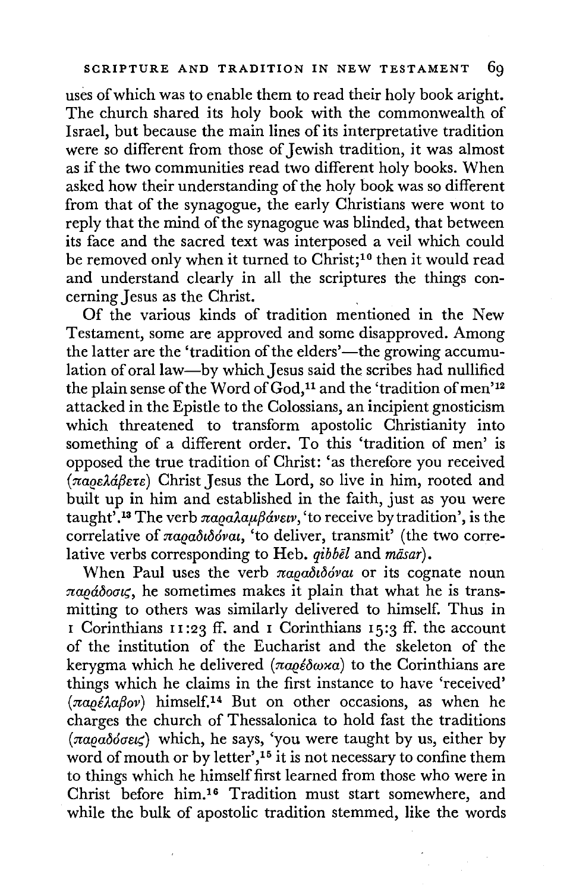uses of which was to enable them to read their holy book aright. The church shared its holy book with the commonwealth of Israel, but because the main lines of its interpretative tradition were so different from those of Jewish tradition, it was almost as if the two communities read two different holy books. When asked how their understanding of the holy book was so different from that of the synagogue, the early Christians were wont to reply that the mind of the synagogue was blinded, that between its face and the sacred text was interposed a veil which could be removed only when it turned to Christ;<sup>10</sup> then it would read and understand clearly in all the scriptures the things concerning Jesus as the Christ.

Of the various kinds of tradition mentioned in the New Testament, some are approved and some disapproved. Among the latter are the 'tradition of the elders'—the growing accumulation of oral law-by which Jesus said the scribes had nullified the plain sense of the Word of God,<sup>11</sup> and the 'tradition of men'<sup>12</sup> attacked in the Epistle to the Colossians, an incipient gnosticism which threatened to transform apostolic Christianity into something of a different order. To this 'tradition of men' is opposed the true tradition of Christ: 'as therefore you received ( *naee1.a/3e1:e)* Christ Jesus the Lord, so live in him, rooted and built up in him and established in the faith, just as you were taught<sup>'</sup>.<sup>13</sup> The verb  $\pi a_0 a \lambda a_4 \beta a_2 \gamma$  are to receive by tradition', is the correlative of *naea&b6vai,* 'to deliver, transmit' (the two correlative verbs corresponding to Heb. *qibbel* and *mäsar*).

When Paul uses the verb παραδιδόναι or its cognate noun *naeaboa~,* he sometimes makes it plain that what he is transmitting to others was similarly delivered to himself. Thus in 1 Corinthians II :23 ff. and 1 Corinthians 15:3 ff. the account of the institution of the Eucharist and the skeleton of the kerygma which he delivered *(παρέδωκα)* to the Corinthians are things which he claims in the first instance to have 'received'  $(\pi a \rho \epsilon \lambda a \beta o \nu)$  himself.<sup>14</sup> But on other occasions, as when he charges the church of Thessalonica to hold fast the traditions *(naeab6ae~)* which, he says, 'you were taught by us, either by word of mouth or by letter',<sup>15</sup> it is not necessary to confine them to things which he himself first learned from those who were in Christ before him.16 Tradition must start somewhere, and while the bulk of apostolic tradition stemmed, like the words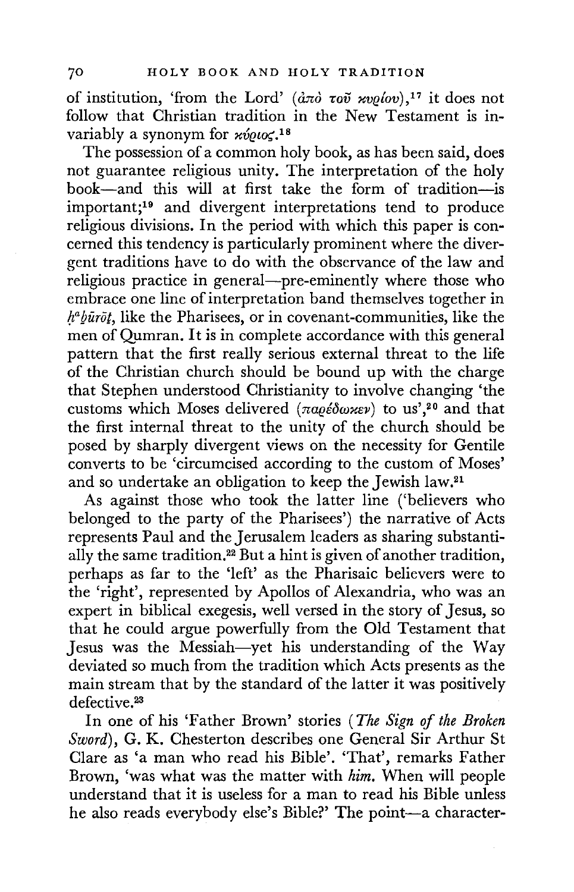of institution, 'from the Lord' ( $d\pi\delta$   $\tau\omega\tilde{\nu}$  *xvelov*),<sup>17</sup> it does not follow that Christian tradition in the New Testament is invariably a synonym for  $x\acute{v}$ *eu* $\leq$ .<sup>18</sup>

The possession of a common holy book, as has been said, does not guarantee religious unity. The interpretation of the holy book-and this will at first take the form of tradition-is important;19 and divergent interpretations tend to produce religious divisions. In the period with which this paper is concerned this tendency is particularly prominent where the divergent traditions have to do with the observance of the law and religious practice in general—pre-eminently where those who embrace one line of interpretation band themselves together in  $h^a b \tilde{u}$ *rot*, like the Pharisees, or in covenant-communities, like the men of Qumran. It is in complete accordance with this general pattern that the first really serious external threat to the life of the Christian church should be bound up with the charge that Stephen understood Christianity to involve changing 'the customs which Moses delivered ( $\pi a\varrho\epsilon\delta\omega\varkappa\varrho$ ) to us',<sup>20</sup> and that the first internal threat to the unity of the church should be posed by sharply divergent views on the necessity for Gentile converts to be 'circumcised according to the custom of Moses' and so undertake an obligation to keep the Jewish law.21

As against those who took the latter line ('believers who belonged to the party of the Pharisees') the narrative of Acts represents Paul and the Jerusalem leaders as sharing substantially the same tradition.22 But a hint is given of another tradition, perhaps as far to the 'left' as the Pharisaic believers were to the 'right', represented by Apollos of Alexandria, who was an expert in biblical exegesis, well versed in the story of Jesus, so that he could argue powerfully from the Old Testament that Jesus was the Messiah-yet his understanding of the Way deviated so much from the tradition which Acts presents as the main stream that by the standard of the latter it was positively defective.<sup>23</sup>

In one of his 'Father Brown' stories ( *The Sign* ef *the Broken Sword),* G. K. Chesterton describes one General Sir Arthur St Clare as 'a man who read his Bible'. 'That', remarks Father Brown, 'was what was the matter with *him.* When will people understand that it is useless for a man to read his Bible unless he also reads everybody else's Bible?' The point-a character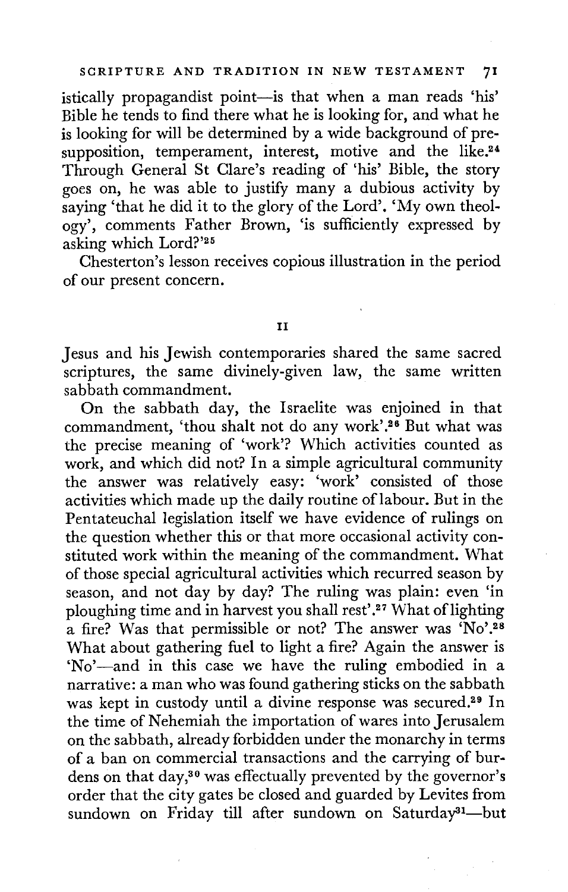istically propagandist point-is that when a man reads 'his' Bible he tends to find there what he is looking for, and what he is looking for will be determined by a wide background of presupposition, temperament, interest, motive and the like.<sup>24</sup> Through General St Clare's reading of 'his' Bible, the story goes on, he was able to justify many a dubious activity by saying 'that he did it to the glory of the Lord'. 'My own theology', comments Father Brown, 'is sufficiently expressed by asking which Lord?'<sup>25</sup>

Chesterton's lesson receives copious illustration in the period of our present concern.

#### II

Jesus and his Jewish contemporaries shared the same sacred scriptures, the same divinely-given law, the same written sabbath commandment.

On the sabbath day, the Israelite was enjoined in that commandment, 'thou shalt not do any work'.<sup>26</sup> But what was the precise meaning of 'work'? Which activities counted as work, and which did not? In a simple agricultural community the answer was relatively easy: 'work' consisted of those activities which made up the daily routine oflabour. But in the Pentateuchal legislation itself we have evidence of rulings on the question whether this or that more occasional activity constituted work within the meaning of the commandment. What of those special agricultural activities which recurred season by season, and not day by day? The ruling was plain: even 'in ploughing time and in harvest you shall rest'.<sup>27</sup> What of lighting a fire? Was that permissible or not? The answer was 'No'.<sup>28</sup> What about gathering fuel to light a fire? Again the answer is 'No'-and in this case we have the ruling embodied in a narrative: a man who was found gathering sticks on the sabbath was kept in custody until a divine response was secured.29 In the time of Nehemiah the importation of wares into Jerusalem on the sabbath, already forbidden under the monarchy in terms of a ban on commercial transactions and the carrying of burdens on that day,30 was effectually prevented by the governor's order that the city gates be closed and guarded by Levites from sundown on Friday till after sundown on Saturday<sup>31</sup>-but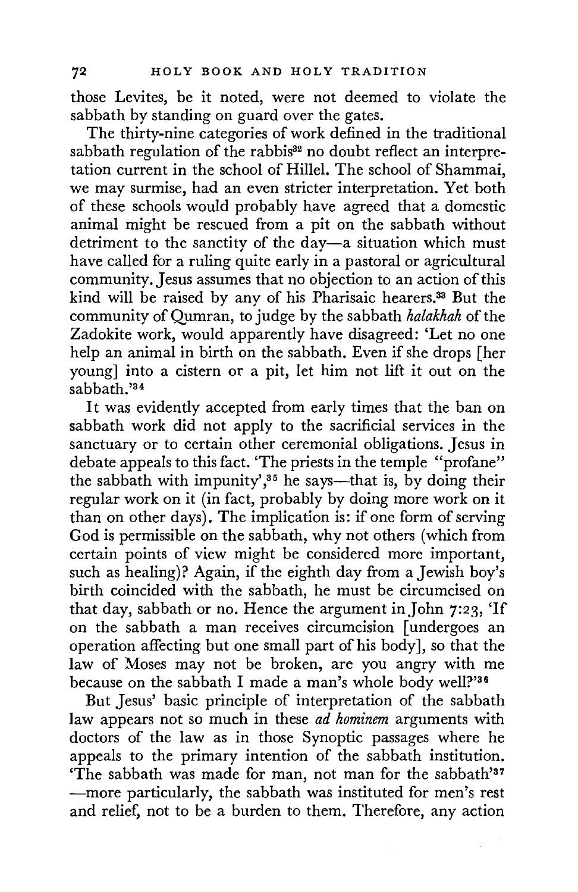those Levites, be it noted, were not deemed to violate the sabbath by standing on guard over the gates.

The thirty-nine categories of work defined in the traditional sabbath regulation of the rabbis<sup>32</sup> no doubt reflect an interpretation current in the school of Hillel. The school of Shammai, we may surmise, had an even stricter interpretation. Yet both of these schools would probably have agreed that a domestic animal might be rescued from a pit on the sabbath without detriment to the sanctity of the day-a situation which must have called for a ruling quite early in a pastoral or agricultural community. Jesus assumes that no objection to an action of this kind will be raised by any of his Pharisaic hearers.33 But the community of Qumran, to judge by the sabbath *halakhah* of the Zadokite work, would apparently have disagreed: 'Let no one help an animal in birth on the sabbath. Even if she drops [her young] into a cistern or a pit, let him not lift it out on the sabbath.'<sup>34</sup>

It was evidently accepted from early times that the ban on sabbath work did not apply to the sacrificial services in the sanctuary or to certain other ceremonial obligations. Jesus in debate appeals to this fact. 'The priests in the temple "profane" the sabbath with impunity',<sup>35</sup> he says—that is, by doing their regular work on it (in fact, probably by doing more work on it than on other days). The implication is: if one form of serving God is permissible on the sabbath, why not others (which from certain points of view might be considered more important, such as healing)? Again, if the eighth day from a Jewish boy's birth coincided with the sabbath, he must be circumcised on that day, sabbath or no. Hence the argument in John 7:23, 'If on the sabbath a man receives circumcision [ undergoes an operation affecting but one small part of his body], so that the law of Moses may not be broken, are you angry with me because on the sabbath I made a man's whole body well?'36

But Jesus' basic principle of interpretation of the sabbath law appears not so much in these *ad hominem* arguments with doctors of the law as in those Synoptic passages where he appeals to the primary intention of the sabbath institution. 'The sabbath was made for man, not man for the sabbath'<sup>37</sup> -more particularly, the sabbath was instituted for men's rest and relief, not to be a burden to them. Therefore, any action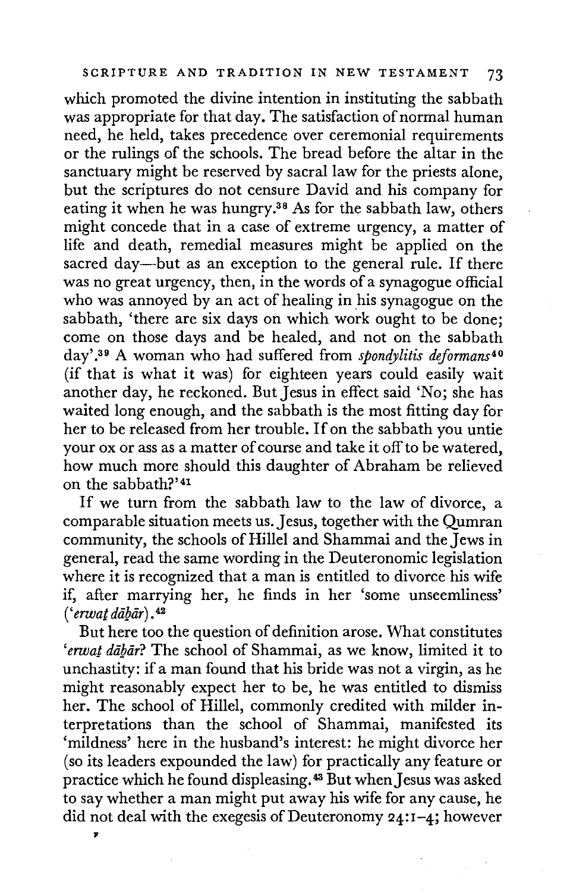which promoted the divine intention in instituting the sabbath was appropriate for that day. The satisfaction of normal human need, he held, takes precedence over ceremonial requirements or the rulings of the schools. The bread before the altar in the sanctuary might be reserved by sacral law for the priests alone, but the scriptures do not censure David and his company for eating it when he was hungry.38 As for the sabbath law, others might concede that in a case of extreme urgency, a matter of life and death, remedial measures might be applied on the sacred day—but as an exception to the general rule. If there was no great urgency, then, in the words of a synagogue official who was annoyed by an act of healing in his synagogue on the sabbath, 'there are six days on which work ought to be done; come on those days and be healed, and not on the sabbath day' . 39 A woman who had suffered from *spondylitis deformans <sup>40</sup>* (if that is what it was) for eighteen years could easily wait another day, he reckoned. But Jesus in effect said 'No; she has waited long enough, and the sabbath is the most fitting day for her to be released from her trouble. If on the sabbath you untie your ox or ass as a matter of course and take it off to be watered, how much more should this daughter of Abraham be relieved on the sabbath?' <sup>41</sup>

If we turn from the sabbath law to the law of divorce, a comparable situation meets us.Jesus, together with the Qumran community, the schools of Hillel and Shammai and the Jews in general, read the same wording in the Deuteronomic legislation where it is recognized that a man is entitled to divorce his wife if, after marrying her, he finds in her 'some unseemliness' ( *'erwat dalJii,r)* . 42

But here too the question of definition arose. What constitutes 'erwat dabar? The school of Shammai, as we know, limited it to unchastity: if a man found that his bride was not a virgin, as he might reasonably expect her to be, he was entitled to dismiss her. The school of Hillel, commonly credited with milder interpretations than the school of Shammai, manifested its 'mildness' here in the husband's interest: he might divorce her (so its leaders expounded the law) for practically any feature or practice which he found displeasing.<sup>43</sup> But when Jesus was asked to say whether a man might put away his wife for any cause, he did not deal with the exegesis of Deuteronomy  $24:1-4$ ; however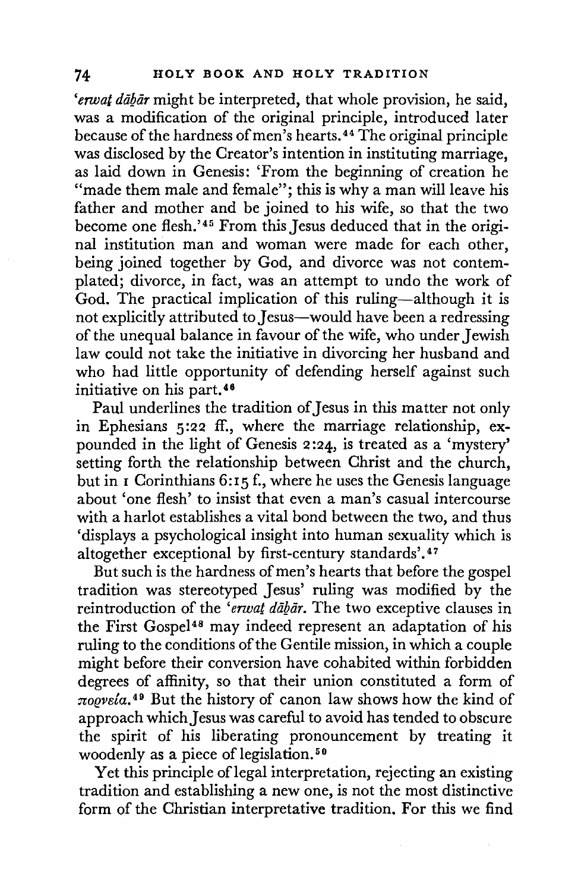*'erwat dagar* might be interpreted, that whole provision, he said, was a modification of the original principle, introduced later because of the hardness of men's hearts. 44 The original principle was disclosed by the Creator's intention in instituting marriage, as laid down in Genesis: 'From the beginning of creation he "made them male and female"; this is why a man will leave his father and mother and be joined to his wife, so that the two become one flesh.'45 From this Jesus deduced that in the original institution man and woman were made for each other, being joined together by God, and divorce was not contemplated; divorce, in fact, was an attempt to undo the work of God. The practical implication of this ruling-although it is not explicitly attributed to Jesus-would have been a redressing of the unequal balance in favour of the wife, who under Jewish law could not take the initiative in divorcing her husband and who had little opportunity of defending herself against such initiative on his part. <sup>46</sup>

Paul underlines the tradition of Jesus in this matter not only in Ephesians 5 :22 ff., where the marriage relationship, expounded in the light of Genesis 2 :24, is treated as a 'mystery' setting forth the relationship between Christ and the church, but in I Corinthians 6:15 f., where he uses the Genesis language about 'one flesh' to insist that even a man's casual intercourse with a harlot establishes a vital bond between the two, and thus 'displays a psychological insight into human sexuality which is altogether exceptional by first-century standards'.<sup>47</sup>

But such is the hardness of men's hearts that before the gospel tradition was stereotyped Jesus' ruling was modified by the reintroduction of the *'erwat dabar.* The two exceptive clauses in the First Gospel<sup>48</sup> may indeed represent an adaptation of his ruling to the conditions of the Gentile mission, in which a couple might before their conversion have cohabited within forbidden degrees of affinity, so that their union constituted a form of *noevela.* 49 But the history of canon law shows how the kind of approach which Jesus was careful to avoid has tended to obscure the spirit of his liberating pronouncement by treating it woodenly as a piece of legislation.<sup>50</sup>

Yet this principle of legal interpretation, rejecting an existing tradition and establishing a new one, is not the most distinctive form of the Christian interpretative tradition. For this we find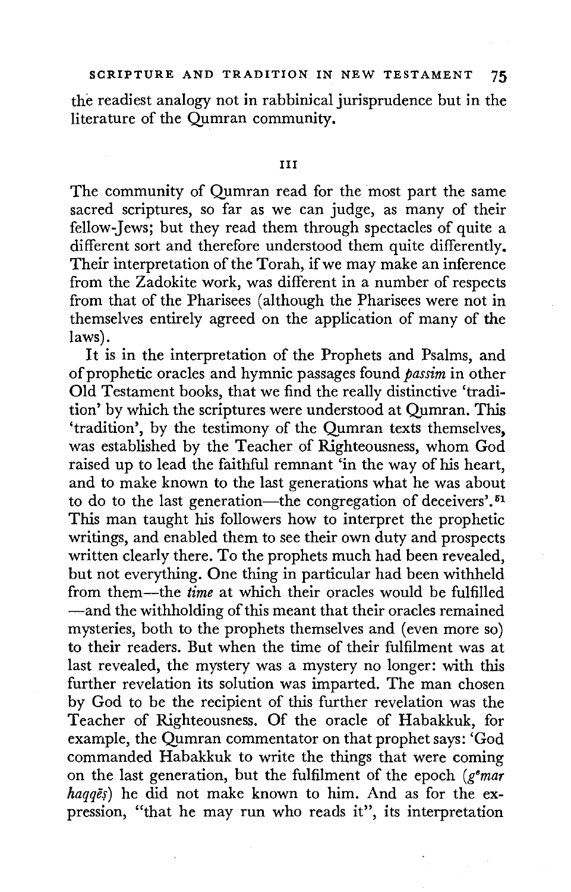the readiest analogy not in rabbinical jurisprudence but in the literature of the Qumran community.

#### III

The community of Qumran read for the most part the same sacred scriptures, so far as we can judge, as many of their fellow-Jews; but they read them through spectacles of quite a different sort and therefore understood them quite differently. Their interpretation of the Torah, if we may make an inference from the Zadokite work, was different in a number of respects from that of the Pharisees (although the Pharisees were not in themselves entirely agreed on the application of many of the laws).

It is in the interpretation of the Prophets and Psalms, and of prophetic oracles and hymnic passages found *passim* in other Old Testament books, that we find the really distinctive 'tradition' by which the scriptures were understood at Qumran. This 'tradition', by the testimony of the Qumran texts themselves, was established by the Teacher of Righteousness, whom God raised up to lead the faithful remnant 'in the way of his heart, and to make known to the last generations what he was about to do to the last generation—the congregation of deceivers'.<sup>51</sup> This man taught his followers how to interpret the prophetic writings, and enabled them to see their own duty and prospects written clearly there. To the prophets much had been revealed, but not everything. One thing in particular had been withheld from them-the *time* at which their oracles would be fulfilled -and the withholding of this meant that their oracles remained mysteries, both to the prophets themselves and (even more so) to their readers. But when the time of their fulfilment was at last revealed, the mystery was a mystery no longer: with this further revelation its solution was imparted. The man chosen by God to be the recipient of this further revelation was the Teacher of Righteousness. Of the oracle of Habakkuk, for example, the Qumran commentator on that prophet says: 'God commanded Habakkuk to write the things that were coming on the last generation, but the fulfilment of the epoch *(g•mar*  haqqes) he did not make known to him. And as for the expression, "that he may run who reads it", its interpretation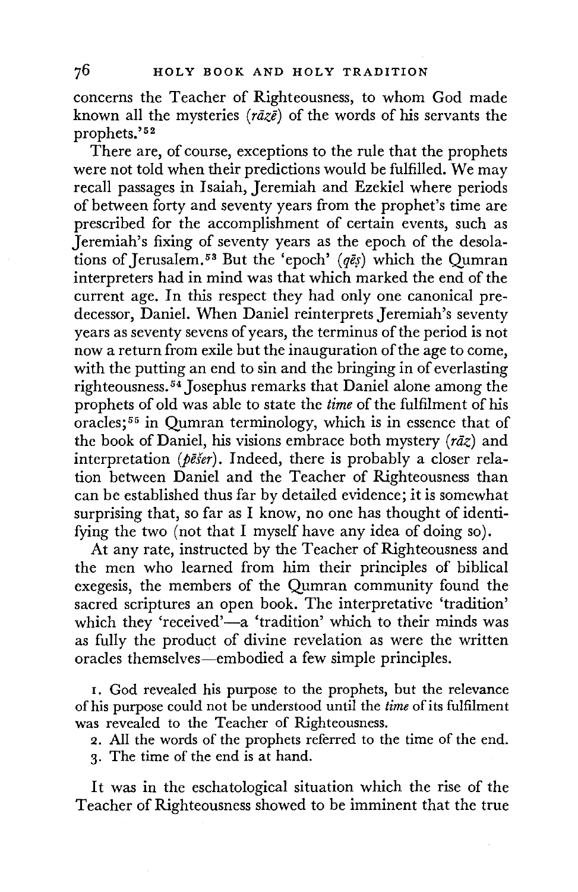concerns the Teacher of Righteousness, to whom God made known all the mysteries ( $r\bar{a}z\bar{\epsilon}$ ) of the words of his servants the prophets.'52

There are, of course, exceptions to the rule that the prophets were not told when their predictions would be fulfilled. We may recall passages in Isaiah, Jeremiah and Ezekiel where periods of between forty and seventy years from the prophet's time are prescribed for the accomplishment of certain events, such as Jeremiah's fixing of seventy years as the epoch of the desolations of Jerusalem.<sup>53</sup> But the 'epoch' ( $q\bar{e}$ s) which the Qumran interpreters had in mind was that which marked the end of the current age. In this respect they had only one canonical predecessor, Daniel. When Daniel reinterprets Jeremiah's seventy years as seventy sevens of years, the terminus of the period is not now a return from exile but the inauguration of the age to come, with the putting an end to sin and the bringing in of everlasting righteousness. 54 Josephus remarks that Daniel alone among the prophets of old was able to state the *time* of the fulfilment of his oracles; 55 in Qumran terminology, which is in essence that of the book of Daniel, his visions embrace both mystery  $(r\bar{a}z)$  and interpretation (*pēšer*). Indeed, there is probably a closer relation between Daniel and the Teacher of Righteousness than can be established thus far by detailed evidence; it is somewhat surprising that, so far as I know, no one has thought of identifying the two (not that I myself have any idea of doing so).

At any rate, instructed by the Teacher of Righteousness and the men who learned from him their principles of biblical exegesis, the members of the Qumran community found the sacred scriptures an open book. The interpretative 'tradition' which they 'received'—a 'tradition' which to their minds was as fully the product of divine revelation as were the written oracles themselves-embodied a few simple principles.

I. God revealed his purpose to the prophets, but the relevance of his purpose could not be understood until the *time* of its fulfilment was revealed to the Teacher of Righteousness.

2. All the words of the prophets referred to the time of the end.

3. The time of the end is at hand.

It was in the eschatological situation which the rise of the Teacher of Righteousness showed to be imminent that the true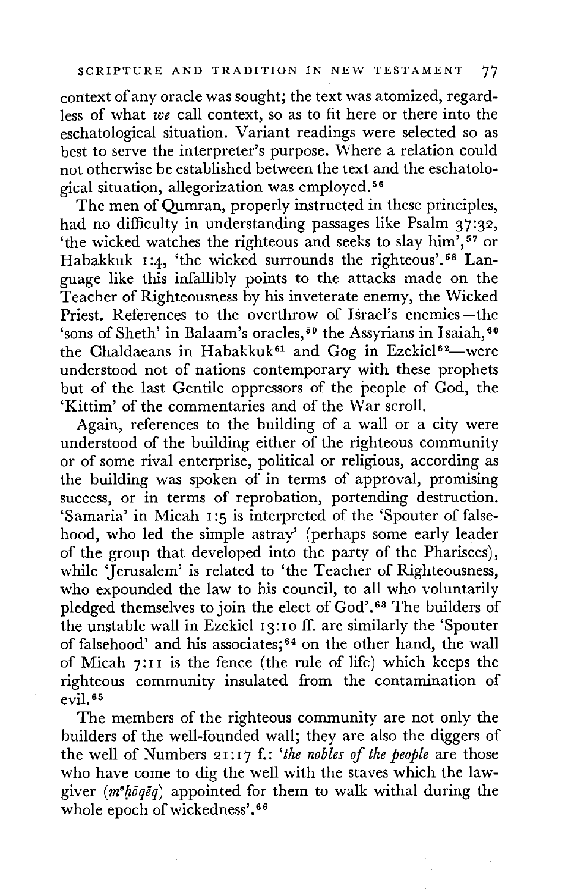context of any oracle was sought; the text was atomized, regardless of what *we* call context, so as to fit here or there into the eschatological situation. Variant readings were selected so as best to serve the interpreter's purpose. Where a relation could not otherwise be established between the text and the eschatological situation, allegorization was employed. 56

The men of Qumran, properly instructed in these principles, had no difficulty in understanding passages like Psalm 37:32, 'the wicked watches the righteous and seeks to slay him', <sup>57</sup> or Habakkuk 1:4, 'the wicked surrounds the righteous'.<sup>58</sup> Language like this infallibly points to the attacks made on the Teacher of Righteousness by his inveterate enemy, the Wicked Priest. References to the overthrow of Israel's enemies-the 'sons of Sheth' in Balaam's oracles,<sup>59</sup> the Assyrians in Isaiah,<sup>60</sup> the Chaldaeans in Habakkuk<sup>61</sup> and Gog in Ezekiel<sup>62</sup>-were understood not of nations contemporary with these prophets but of the last Gentile oppressors of the people of God, the 'Kittim' of the commentaries and of the War scroll.

Again, references to the building of a wall or a city were understood of the building either of the righteous community or of some rival enterprise, political or religious, according as the building was spoken of in terms of approval, promising success, or in terms of reprobation, portending destruction. 'Samaria' in Micah 1 :5 is interpreted of the 'Spouter of falsehood, who led the simple astray' (perhaps some early leader of the group that developed into the party of the Pharisees), while 'Jerusalem' is related to 'the Teacher of Righteousness, who expounded the law to his council, to all who voluntarily pledged themselves to join the elect of God'. 63 The builders of the unstable wall in Ezekiel 13:10 ff. are similarly the 'Spouter of falsehood' and his associates; 64 on the other hand, the wall of Micah 7: 1 I is the fence ( the rule of life) which keeps the righteous community insulated from the contamination of evil. 65

The members of the righteous community are not only the builders of the well-founded wall; they are also the diggers of the well of Numbers 2 1: 1 7 f.: *'the nobles of the people* are those who have come to dig the well with the staves which the lawgiver ( $m^e h \bar{o} q \bar{e} q$ ) appointed for them to walk withal during the whole epoch of wickedness'.<sup>66</sup>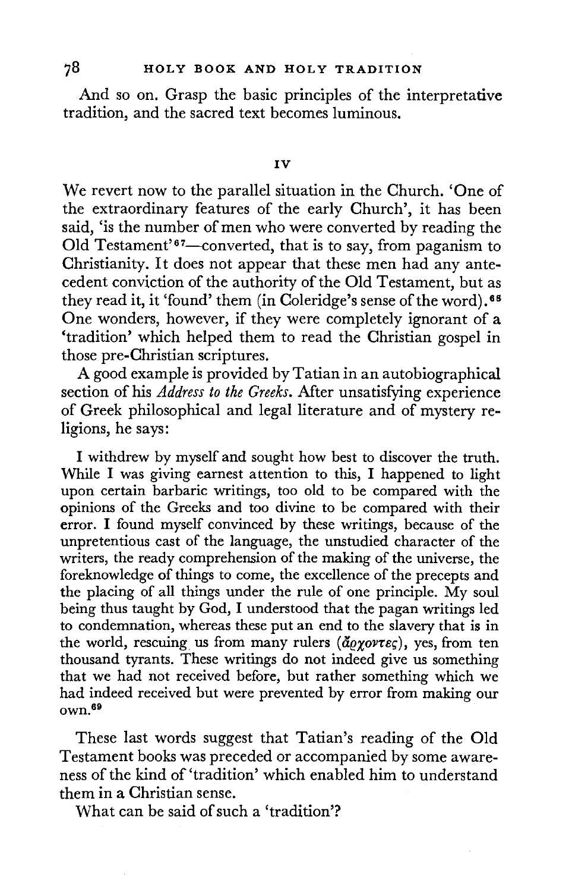And so on. Grasp the basic principles of the interpretative tradition, and the sacred text becomes luminous.

We revert now to the parallel situation in the Church. 'One of the extraordinary features of the early Church', it has been said, 'is the number of men who were converted by reading the Old Testament'<sup>67</sup>—converted, that is to say, from paganism to Christianity. It does not appear that these men had any antecedent conviction of the authority of the Old Testament, but as they read it, it 'found' them (in Coleridge's sense of the word).<sup>68</sup> One wonders, however, if they were completely ignorant of **a**  'tradition' which helped them to read the Christian gospel **in**  those pre-Christian scriptures.

A good example is provided by Tatian in an autobiographical section of his *Address to the Greeks.* After unsatisfying experience of Greek philosophical and legal literature and of mystery religions, he says:

I withdrew by myself and sought how best to discover the truth. While I was giving earnest attention to this, I happened to light upon certain barbaric writings, too old to be compared with the opinions of the Greeks and too divine to be compared with their error. I found myself convinced by these writings, because of the unpretentious cast of the language, the unstudied character of the writers, the ready comprehension of the making of the universe, the foreknowledge of things to come, the excellence of the precepts and the placing of all things under the rule of one principle. My soul being thus taught by God, I understood that the pagan writings led to condemnation, whereas these put an end to the slavery that is in the world, rescuing us from many rulers ( $\tilde{d}\rho\gamma\omega\tau\epsilon\zeta$ ), yes, from ten thousand tyrants. These writings do not indeed give us something that we had not received before, but rather something which we had indeed received but were prevented by error from making our own.69

These last words suggest that Tatian's reading of the Old Testament books was preceded or accompanied by some awareness of the kind of 'tradition' which enabled him to understand them in a Christian sense.

What can be said of such a 'tradition'?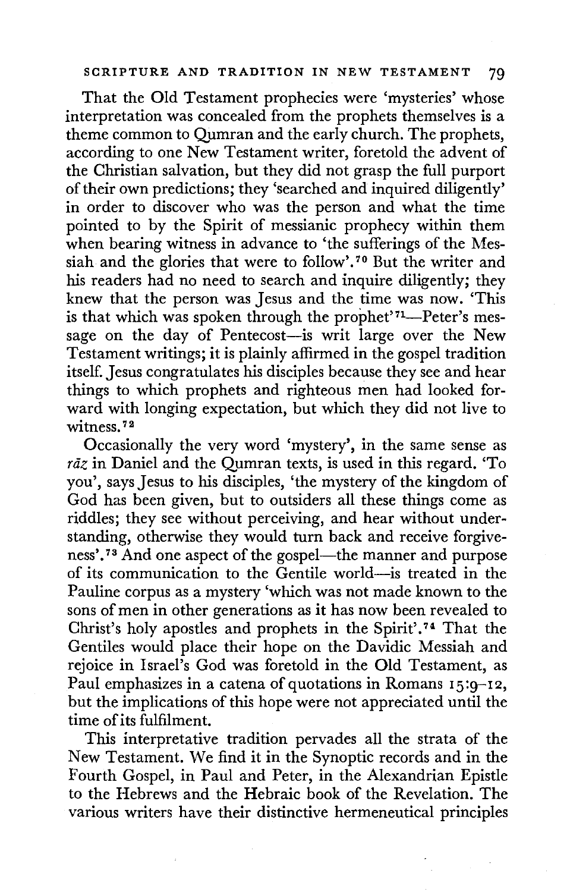## SCRIPTURE AND TRADITION IN NEW TESTAMENT 79

That the Old Testament prophecies were 'mysteries' whose interpretation was concealed from the prophets themselves is a theme common to Qumran and the early church. The prophets, according to one New Testament writer, foretold the advent of the Christian salvation, but they did not grasp the full purport of their own predictions; they 'searched and inquired diligently' in order to discover who was the person and what the time pointed to by the Spirit of messianic prophecy within them when bearing witness in advance to 'the sufferings of the Messiah and the glories that were to follow'. 70 But the writer and his readers had no need to search and inquire diligently; they knew that the person was Jesus and the time was now. 'This is that which was spoken through the prophet'<sup>71</sup>-Peter's message on the day of Pentecost-is writ large over the New Testament writings; it is plainly affirmed in the gospel tradition itself. Jesus congratulates his disciples because they see and hear things to which prophets and righteous men had looked forward with longing expectation, but which they did not live to witness.<sup>72</sup>

Occasionally the very word 'mystery', in the same sense as *raz* in Daniel and the Qumran texts, is used in this regard. 'To you', says Jesus to his disciples, 'the mystery of the kingdom of God has been given, but to outsiders all these things come as riddles; they see without perceiving, and hear without understanding, otherwise they would turn back and receive forgiveness'.<sup>73</sup> And one aspect of the gospel—the manner and purpose of its communication to the Gentile world-is treated in the Pauline corpus as a mystery 'which was not made known to the sons of men in other generations as it has now been revealed to Christ's holy apostles and prophets in the Spirit'. 74 That the Gentiles would place their hope on the Davidic Messiah and rejoice in Israel's God was foretold in the Old Testament, as Paul emphasizes in a catena of quotations in Romans 15:9-12, but the implications of this hope were not appreciated until the time of its fulfilment.

This interpretative tradition pervades all the strata of the New Testament. We find it in the Synoptic records and in the Fourth Gospel, in Paul and Peter, in the Alexandrian Epistle to the Hebrews and the Hebraic book of the Revelation. The various writers have their distinctive hermeneutical principles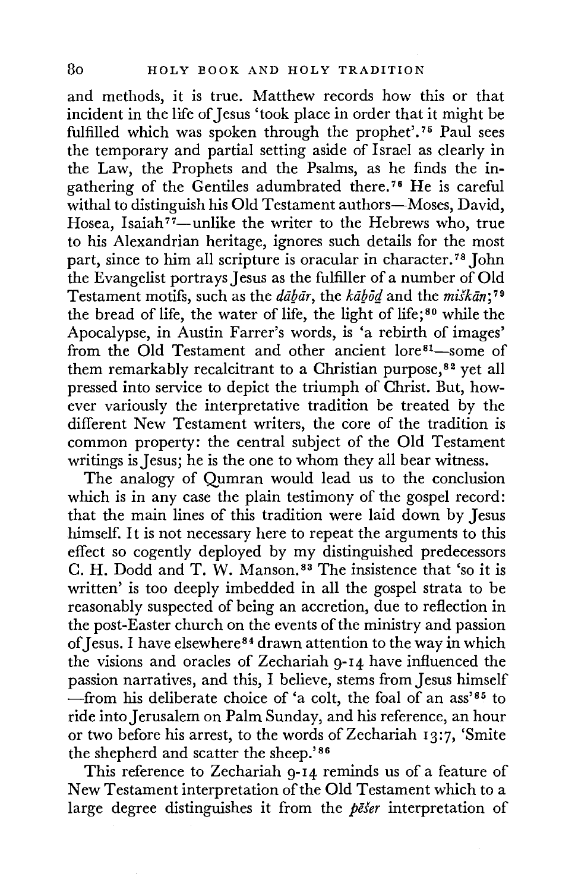and methods, it is true. Matthew records how this or that incident in the life of Jesus 'took place in order that it might be fulfilled which was spoken through the prophet'.<sup>75</sup> Paul sees the temporary and partial setting aside of Israel as clearly in the Law, the Prophets and the Psalms, as he finds the ingathering of the Gentiles adumbrated there. 76 He is careful withal to distinguish his Old Testament authors-Moses, David, Hosea, Isaiah<sup>77</sup>-unlike the writer to the Hebrews who, true to his Alexandrian heritage, ignores such details for the most part, since to him all scripture is oracular in character.<sup>78</sup> John the Evangelist portrays Jesus as the fulfiller of a number of Old Testament motifs, such as the *dabar*, the *kabod* and the *miskan*;<sup>79</sup> the bread of life, the water of life, the light of life; 80 while the Apocalypse, in Austin Farrer's words, is 'a rebirth of images' from the Old Testament and other ancient lore<sup>81</sup>-some of them remarkably recalcitrant to a Christian purpose,<sup>82</sup> yet all pressed into service to depict the triumph of Christ. But, however variously the interpretative tradition be treated by the different New Testament writers, the core of the tradition is common property: the central subject of the Old Testament writings is Jesus; he is the one to whom they all bear witness.

The analogy of Qumran would lead us to the conclusion which is in any case the plain testimony of the gospel record: that the main lines of this tradition were laid down by Jesus himself. It is not necessary here to repeat the arguments to this effect so cogently deployed by my distinguished predecessors C. H. Dodd and T. W. Manson. 83 The insistence that 'so it is written' is too deeply imbedded in all the gospel strata to be reasonably suspected of being an accretion, due to reflection in the post-Easter church on the events of the ministry and passion of Jesus. I have elsewhere<sup>84</sup> drawn attention to the way in which the visions and oracles of Zechariah 9-14 have influenced the passion narratives, and this, I believe, stems from Jesus himself -from his deliberate choice of 'a colt, the foal of an ass' $85$  to ride into Jerusalem on Palm Sunday, and his reference, an hour or two before his arrest, to the words of Zechariah 13:7, 'Smite the shepherd and scatter the sheep.'86

This reference to Zechariah 9-14 reminds us of a feature of New Testament interpretation of the Old Testament which to a large degree distinguishes it from the *pefer* interpretation of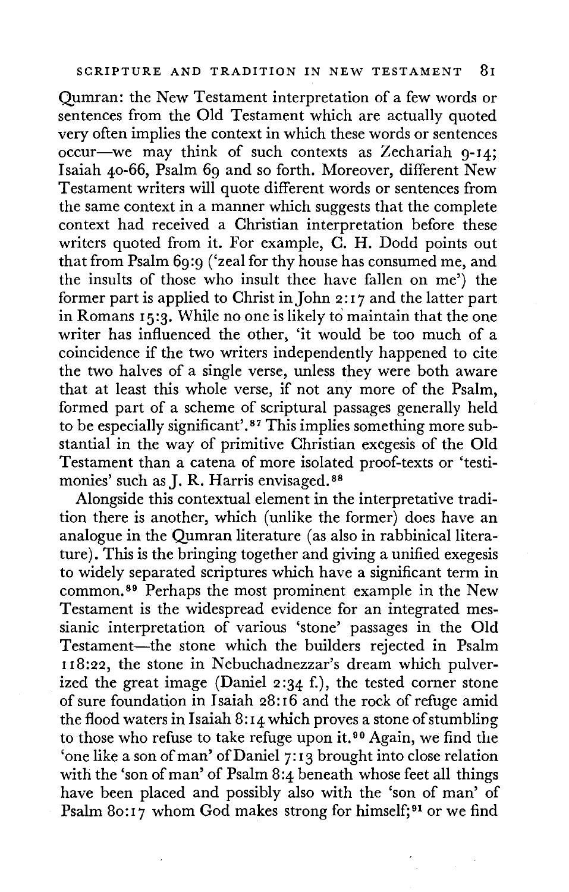Qumran: the New Testament interpretation of a few words or sentences from the Old Testament which are actually quoted very often implies the context in which these words or sentences occur-we may think of such contexts as Zechariah 9-14; Isaiah 40-66, Psalm 69 and so forth. Moreover, different New Testament writers will quote different words or sentences from the same context in a manner which suggests that the complete context had received a Christian interpretation before these writers quoted from it. For example, C. H. Dodd points out that from Psalm 69:9 ('zeal for thy house has consumed me, and the insults of those who insult thee have fallen on me') the former part is applied to Christ in John 2: I 7 and the latter part in Romans 15:3. While no one is likely to maintain that the one writer has influenced the other, 'it would be too much of a coincidence if the two writers independently happened to cite the two halves of a single verse, unless they were both aware that at least this whole verse, if not any more of the Psalm, formed part of a scheme of scriptural passages generally held to be especially significant'. 87 This implies something more substantial in the way of primitive Christian exegesis of the Old Testament than a catena of more isolated proof-texts or 'testimonies' such as J. R. Harris envisaged.<sup>88</sup>

Alongside this contextual clement in the interpretative tradition there is another, which (unlike the former) does have an analogue in the Qumran literature ( as also in rabbinical literature). This is the bringing together and giving a unified exegesis to widely separated scriptures which have a significant term in common. 89 Perhaps the most prominent example in the New Testament is the widespread evidence for an integrated messianic interpretation of various 'stone' passages in the Old Testament-the stone which the builders rejected in Psalm I 18:22, the stone in Nebuchadnezzar's dream which pulverized the great image (Daniel 2:34 f.), the tested corner stone of sure foundation in Isaiah 28:16 and the rock of refuge amid the flood waters in Isaiah 8: 14 which proves a stone of stumbling to those who refuse to take refuge upon it. 90 Again, we find the 'one like a son of man' of Daniel 7:13 brought into close relation with the 'son of man' of Psalm 8:4 beneath whose feet all things have been placed and possibly also with the 'son of man' of Psalm 80:17 whom God makes strong for himself;<sup>91</sup> or we find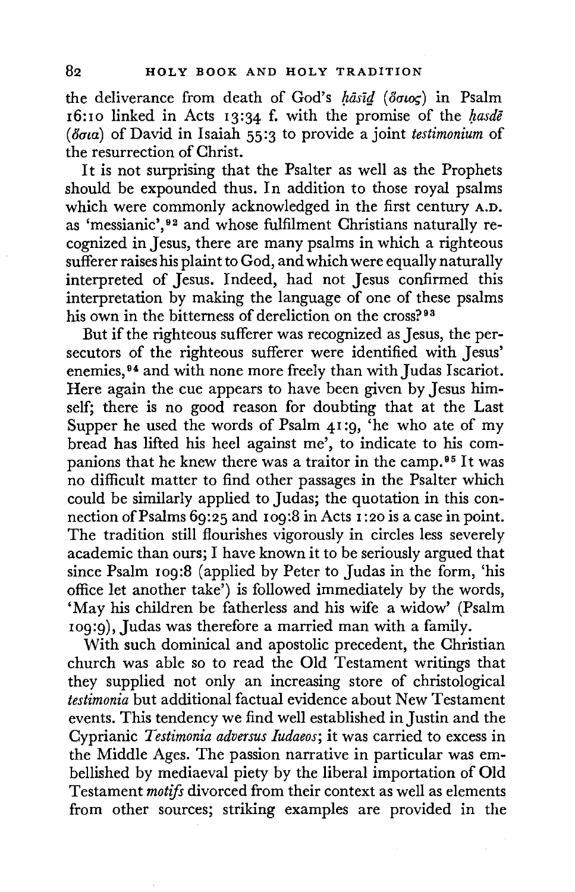the deliverance from death of God's *hasid* (80105) in Psalm 16:10 linked in Acts 13:34 f. with the promise of the *hasde (8ata)* of David in Isaiah 55:3 to provide a joint *testimonium* of the resurrection of Christ.

It is not surprising that the Psalter as well as the Prophets should be expounded thus. In addition to those royal psalms which were commonly acknowledged in the first century A.D. as 'messianic', 92 and whose fulfilment Christians naturally recognized in Jesus, there are many psalms in which a righteous sufferer raises his plaint to God, and which were equally naturally interpreted of Jesus. Indeed, had not Jesus confirmed this interpretation by making the language of one of these psalms his own in the bitterness of dereliction on the cross?<sup>93</sup>

But if the righteous sufferer was recognized as Jesus, the persecutors of the righteous sufferer were identified with Jesus' enemies,<sup>94</sup> and with none more freely than with Judas Iscariot. Here again the cue appears to have been given by Jesus himself; there is no good reason for doubting that at the Last Supper he used the words of Psalm 41 :9, 'he who ate of my bread has lifted his heel against me', to indicate to his companions that he knew there was a traitor in the camp. 95 It was no difficult matter to find other passages in the Psalter which could be similarly applied to Judas; the quotation in this connection of Psalms 69:25 and 109:8 in Acts 1 :20 is a case in point. The tradition still flourishes vigorously in circles less severely academic than ours; I have known it to be seriously argued that since Psalm 109:8 (applied by Peter to Judas in the form, 'his office let another take') is followed immediately by the words, 'May his children be fatherless and his wife a widow' (Psalm 109:9), Judas was therefore a married man with a family.

With such dominical and apostolic precedent, the Christian church was able so to read the Old Testament writings that they supplied not only an increasing store of christological *testimonia* but additional factual evidence about New Testament events. This tendency we find well established in Justin and the Cyprianic *Testimonia adversus Iudaeos;* it was carried to excess in the Middle Ages. The passion narrative in particular was embellished by mediaeval piety by the liberal importation of Old Testament *motifs* divorced from their context as well as elements from other sources; striking examples are provided in the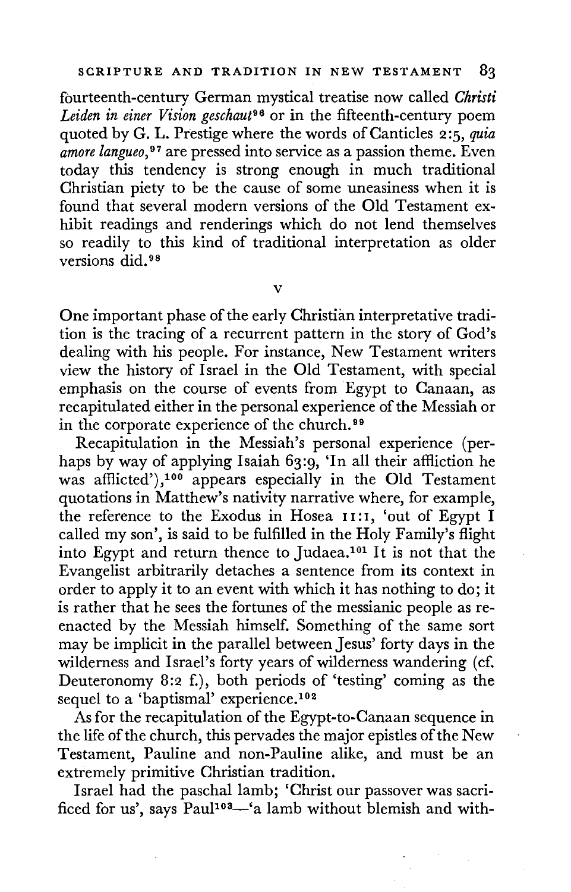fourteenth-century German mystical treatise now called *Christi Leiden in einer Vision geschaut96* or in the fifteenth-century poem quoted by G. L. Prestige where the words of Canticles 2:5, *quia amore langueo,* 97 are pressed into service as a passion theme. Even today this tendency is strong enough in much traditional Christian piety to be the cause of some uneasiness when it is found that several modern versions of the Old Testament exhibit readings and renderings which do not lend themselves so readily to this kind of traditional interpretation as older versions did. 98

V

One important phase of the early Christian interpretative tradition is the tracing of a recurrent pattern in the story of God's dealing with his people. For instance, New Testament writers view the history of Israel in the Old Testament, with special emphasis on the course of events from Egypt to Canaan, as recapitulated either in the personal experience of the Messiah or in the corporate experience of the church. 99

Recapitulation in the Messiah's personal experience (perhaps by way of applying Isaiah 63:9, 'In all their affliction he was affiicted'),100 appears especially in the Old Testament quotations in Matthew's nativity narrative where, for example, the reference to the Exodus in Hosea 11:1, 'out of Egypt I called my son', is said to be fulfilled in the Holy Family's flight into Egypt and return thence to Judaea.101 It is not that the Evangelist arbitrarily detaches a sentence from its context in order to apply it to an event with which it has nothing to do; it is rather that he sees the fortunes of the messianic people as reenacted by the Messiah himself. Something of the same sort may be implicit in the parallel between Jesus' forty days in the wilderness and Israel's forty years of wilderness wandering (cf. Deuteronomy 8:2 f.), both periods of 'testing' coming as the sequel to a 'baptismal' experience.<sup>102</sup>

As for the recapitulation of the Egypt-to-Canaan sequence in the life of the church, this pervades the major epistles of the New Testament, Pauline and non-Pauline alike, and must be an extremely primitive Christian tradition.

Israel had the paschal lamb; 'Christ our passover was sacrificed for us', says Paul<sup>103</sup><sup>-'</sup>a lamb without blemish and with-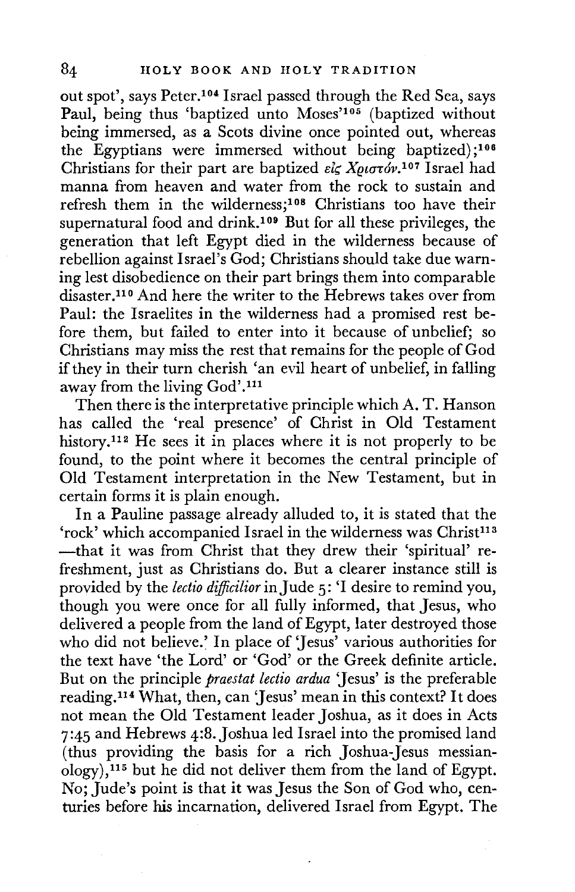out spot', says Peter.104 Israel passed through the Red Sea, says Paul, being thus 'baptized unto Moses'<sup>105</sup> (baptized without being immersed, as a Scots divine once pointed out, whereas the Egyptians were immersed without being baptized);<sup>106</sup> Christians for their part are baptized *είς Χριστόν*.<sup>107</sup> Israel had manna from heaven and water from the rock to sustain and refresh them in the wilderness;108 Christians too have their supernatural food and drink.109 But for all these privileges, the generation that left Egypt died in the wilderness because of rebellion against Israel's God; Christians should take due warning lest disobedience on their part brings them into comparable disaster.110 And here the writer to the Hebrews takes over from Paul: the Israelites in the wilderness had a promised rest before them, but failed to enter into it because of unbelief; so Christians may miss the rest that remains for the people of God if they in their turn cherish 'an evil heart of unbelief, in falling away from the living God'. <sup>111</sup>

Then there is the interpretative principle which A. T. Hanson has called the 'real presence' of Christ in Old Testament history.<sup>112</sup> He sees it in places where it is not properly to be found, to the point where it becomes the central principle of Old Testament interpretation in the New Testament, but in certain forms it is plain enough.

In a Pauline passage already alluded to, it is stated that the 'rock' which accompanied Israel in the wilderness was Christ<sup>113</sup> -that it was from Christ that they drew their 'spiritual' refreshment, just as Christians do. But a clearer instance still is provided by the *lectio dijficilior* in Jude 5: 'I desire to remind you, though you were once for all fully informed, that Jesus, who delivered a people from the land of Egypt, later destroyed those who did not believe.' In place of 'Jesus' various authorities for the text have 'the Lord' or 'God' or the Greek definite article. But on the principle *praestat lectio ardua* 'Jesus' is the preferable reading.114 What, then, can 'Jesus' mean in this context? It does not mean the Old Testament leader Joshua, as it does in Acts 7:45 and Hebrews 4:8.Joshua led Israel into the promised land (thus providing the basis for a rich Joshua-Jesus messian- $\langle \text{ology} \rangle$ ,<sup>115</sup> but he did not deliver them from the land of Egypt. No; Jude's point is that it was Jesus the Son of God who, centuries before his incarnation, delivered Israel from Egypt. The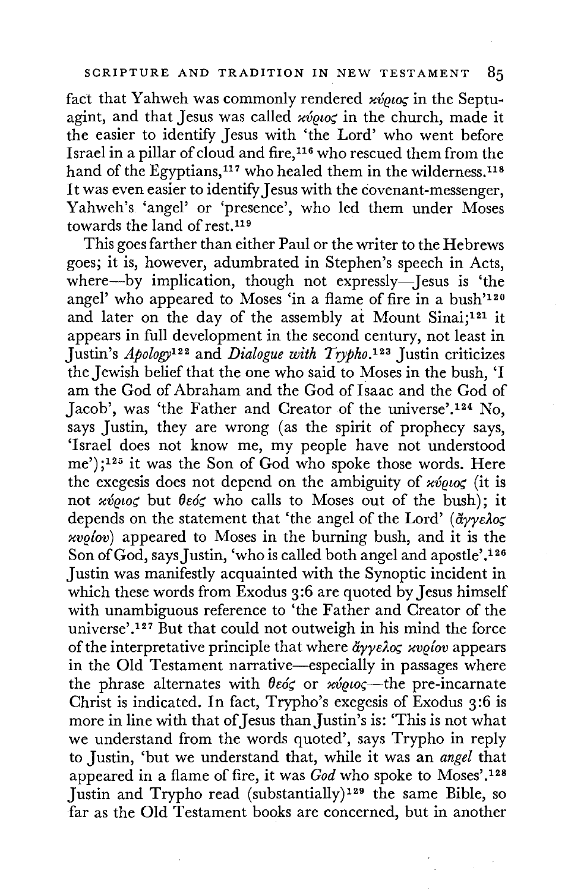fact that Yahweh was commonly rendered  $x\acute{v}q\acute{u}q\acute{u}$  in the Septuagint, and that Jesus was called *xvous* in the church, made it the easier to identify Jesus with 'the Lord' who went before Israel in a pillar of cloud and fire, 116 who rescued them from the hand of the Egyptians,<sup>117</sup> who healed them in the wilderness.<sup>118</sup> It was even easier to identify Jesus with the covenant-messenger, Yahweh's 'angel' or 'presence', who led them under Moses towards the land of rest.119

This goes farther than either Paul or the writer to the Hebrews goes; it is, however, adumbrated in Stephen's speech in Acts, where-by implication, though not expressly-Jesus is 'the angel' who appeared to Moses 'in a flame of fire in a bush'120 and later on the day of the assembly at Mount Sinai;121 it appears in full development in the second century, not least in Justin's *Apology*<sup>122</sup> and *Dialogue with Trypho.*<sup>123</sup> Justin criticizes the Jewish belief that the one who said to Moses in the bush, 'I am the God of Abraham and the God of Isaac and the God of Jacob', was 'the Father and Creator of the universe'.124 No, says Justin, they are wrong (as the spirit of prophecy says, 'Israel does not know me, my people have not understood me') ; 125 it was the Son of God who spoke those words. Here the exegesis does not depend on the ambiguity of  $x\acute{v}q\acute{u}q\acute{c}$  (it is not *xvous* but  $\theta \in \infty$  who calls to Moses out of the bush); it depends on the statement that 'the angel of the Lord' ( *ayys2o; xvelov)* appeared to Moses in the burning bush, and it is the Son of God, says Justin, 'who is called both angel and apostle'.<sup>126</sup> Justin was manifestly acquainted with the Synoptic incident in which these words from Exodus 3:6 are quoted by Jesus himself with unambiguous reference to 'the Father and Creator of the universe'.<sup>127</sup> But that could not outweigh in his mind the force of the interpretative principle that where *ayys2o; xvelov* appears in the Old Testament narrative-especially in passages where the phrase alternates with θεός or *κύριος*—the pre-incarnate Christ is indicated. In fact, Trypho's exegesis of Exodus 3 :6 is more in line with that of Jesus than Justin's is: 'This is not what we understand from the words quoted', says Trypho in reply to Justin, 'but we understand that, while it was an *angel* that appeared in a flame of fire, it was *God* who spoke to Moses'.128 Justin and Trypho read (substantially) 129 the same Bible, so far as the Old Testament books are concerned, but in another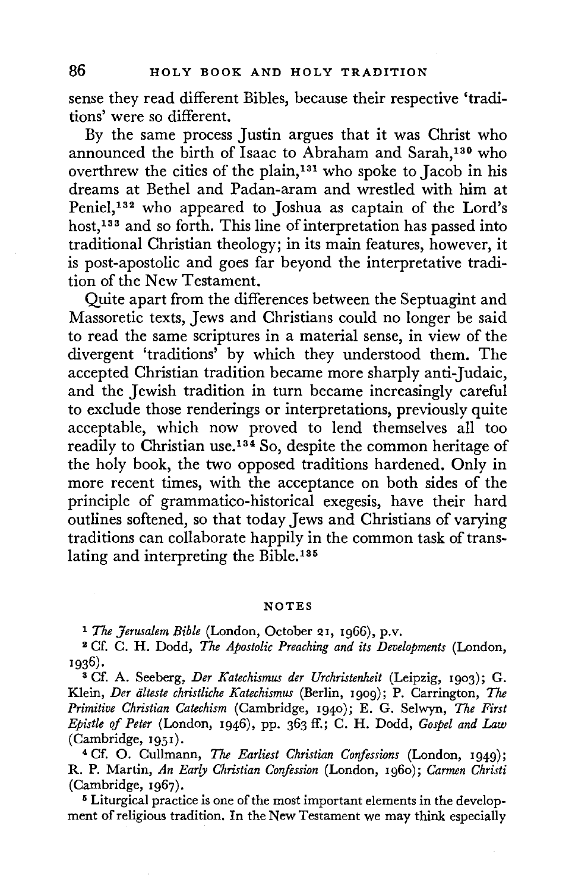sense they read different Bibles, because their respective 'traditions' were so different.

By the same process Justin argues that it was Christ who announced the birth of Isaac to Abraham and Sarah,130 who overthrew the cities of the plain,131 who spoke to Jacob in his dreams at Bethel and Padan-aram and wrestled with him at Peniel,132 who appeared to Joshua as captain of the Lord's host,<sup>133</sup> and so forth. This line of interpretation has passed into traditional Christian theology; in its main features, however, it is post-apostolic and goes far beyond the interpretative tradition of the New Testament.

Quite apart from the differences between the Septuagint and Massoretic texts, Jews and Christians could no longer be said to read the same scriptures in a material sense, in view of the divergent 'traditions' by which they understood them. The accepted Christian tradition became more sharply anti-Judaic, and the Jewish tradition in turn became increasingly careful to exclude those renderings or interpretations, previously quite acceptable, which now proved to lend themselves all too readily to Christian use.134 So, despite the common heritage of the holy book, the two opposed traditions hardened. Only in more recent times, with the acceptance on both sides of the principle of grammatico-historical exegesis, have their hard outlines softened, so that today Jews and Christians of varying traditions can collaborate happily in the common task of translating and interpreting the Bible.<sup>135</sup>

#### **NOTES**

<sup>1</sup>*The Jerusalem Bible* (London, October 21, 1966), p.v. 1 Cf. C. H. Dodd, *The Apostolic Preaching and its Developments* (London, 1936).

<sup>3</sup>Cf. A. Seeberg, *Der Katechismus der Urchristenheit* (Leipzig, 1903); G. Klein, *Der iilteste christliche Katechismus* (Berlin, 1909); P. Carrington, The *Primitive Christian Catechism* (Cambridge, 1940); E. G. Selwyn, *The First Epistle of Peter* (London, 1946), pp. 363 ff.; C. H. Dodd, *Gospel and Law*  (Cambridge, 1951).

<sup>4</sup>Cf. 0. Cullmann, The *Earliest Christian Confessions* (London, 1949); R. P. Martin, *An Early Christian Corifesswn* (London, 1960); *Carmen Christi*  (Cambridge, 1967).

5 Liturgical practice is one of the most important elements in the development of religious tradition. In the New Testament we may think especially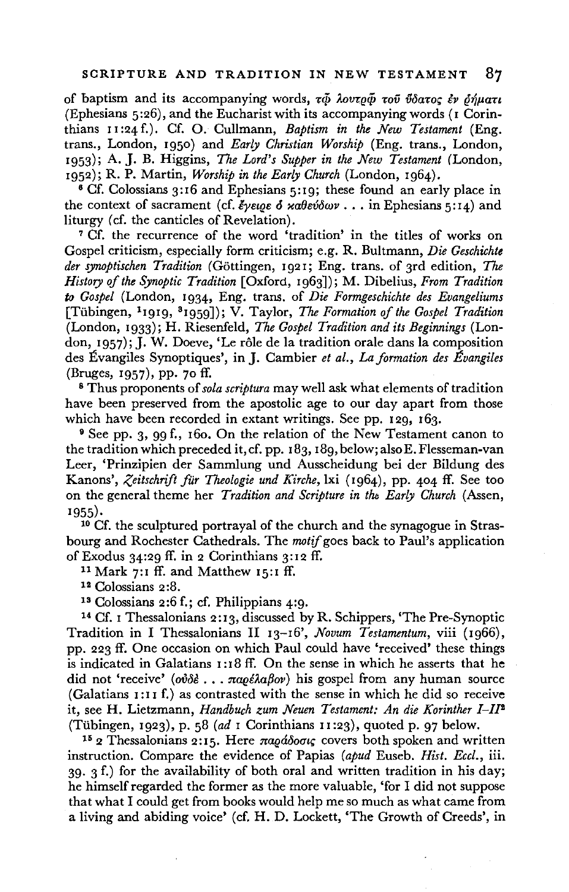of baptism and its accompanying words, τῷ λουτρῷ τοῦ ὕδατος ἐν δήματι (Ephesians 5:26), and the Eucharist with its accompanying words (1 Corinthians II :24 f.). Cf. 0. Cullmann, *Baptism in the New Testament* (Eng. trans., London, 1950) and *Early Christian Worship* (Eng. trans., London, 1953); A. J. B. Higgins, *The Lord's Supper in the New Testament* (London, 1952); R. P. Martin, *Worship in the Early Church* (London, 1964).

<sup>6</sup> Cf. Colossians 3:16 and Ephesians 5:19; these found an early place in the context of sacrament (cf.  $\ell$ yeige  $\delta$  xabev $\delta$ wv . . . in Ephesians 5:14) and liturgy *(cf. the canticles of Revelation)*.

<sup>7</sup>Cf. the recurrence of the word 'tradition' in the titles of works on Gospel criticism, especially form criticism; e.g. R. Bultmann, *Die Geschichte der synoptischen Tradition* (Gottingen, 1921; Eng. trans. of 3rd edition, *The History of the Synoptic Tradition* [Oxford, 1963]); M. Dibelius, *From Tradition*  to *Gospel* (London, 1934, Eng. trans. of *Die Formgeschichte des Evangeliums*  [Tiibingen, 1 1919, 8 1959]); V. Taylor, *The Formation of the Gospel Tradition*  (London, 1933); H. Riesenfeld, *The Gospel Tradition and its Beginnings* (London, 1957); J. W. Doeve, 'Le rôle de la tradition orale dans la composition des Évangiles Synoptiques', in J. Cambier *et al., La formation des Évangiles* (Bruges, 1957), pp. 70 ff.

<sup>8</sup> Thus proponents of *sola scriptura* may well ask what elements of tradition have been preserved from the apostolic age to our day apart from those which have been recorded in extant writings. See pp. 129, 163.

<sup>9</sup> See pp. 3, 99 f., 160. On the relation of the New Testament canon to the tradition which preceded it, cf. pp. 183, I 89, below; also E. Flesseman-van Leer, 'Prinzipien der Sammlung und Ausscheidung bei der Bildung des Kanons', *Zeitschrift fur Theologie und Kirche,* lxi (1964), pp. 404 ff. See too on the general theme her *Tradition and Scripture in tlu Early Church* (Assen, 1955). 1955). 1955). 1965 is expressed to the church and the synagogue in Stras-

bourg and Rochester Cathedrals. The *motif* goes back to Paul's application of Exodus 34:29 ff. in 2 Corinthians 3:12 ff.<br>
<sup>11</sup> Mark 7:1 ff. and Matthew 15:1 ff.<br>
<sup>12</sup> Colossians 2:8.<br>
<sup>13</sup> Colossians 2:6 f.; cf. Philippians 4:9.

<sup>14</sup>Cf. 1 Thessalonians 2: 13, discussed by R. Schippers, 'The Pre-Synoptic Tradition in I Thessalonians II 13-16', *Novum Testamentum,* viii (1966), pp. 223 ff. One occasion on which Paul could have 'received' these things is indicated in Galatians 1: 18 ff. On the sense in which he asserts that he did not 'receive' (ovole ...  $\pi a \varrho \in \Lambda a \beta$ ov) his gospel from any human source (Galatians 1:II f.) as contrasted with the sense in which he did so receive it, see H. Lietzmann, *Handbuch zum Neuen Testament: An die Korinther 1-111*  (Tiibingen, 1923), p. 58 *(ad* I Corinthians II :23), quoted p. 97 below.

<sup>15</sup> 2 Thessalonians 2:15. Here *naoádoou*, covers both spoken and written instruction. Compare the evidence of Papias *(apud* Euseb. *Hist. Eccl.,* iii. 39. 3 f.) for the availability of both oral and written tradition in his day; he himself regarded the former as the more valuable, 'for I did not suppose that what I could get from books would help me so much as what came from a living and abiding voice' ( cf. H. D. Lockett, 'The Growth of Creeds', in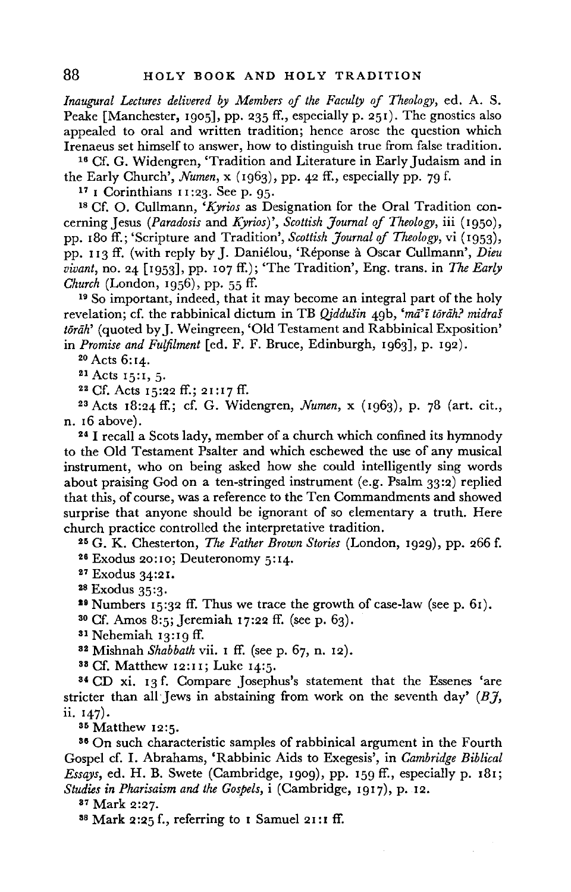*Inaugural Lectures delivered by Members of the Faculty of Theology,* ed. A. S. Peake [Manchester, 1905], pp. 235 ff., especially p. 251). The gnostics also appealed to oral and written tradition; hence arose the question which

Irenaeus set himself to answer, how to distinguish true from false tradition.<br><sup>16</sup> Cf. G. Widengren, 'Tradition and Literature in Early Judaism and in the Early Church', *Numen*,  $x$  (1963), pp. 42 ff., especially pp. 79

<sup>17</sup> I Corinthians 11:23. See p. 95.<br><sup>18</sup> Cf. O. Cullmann, *'Kyrios* as Designation for the Oral Tradition concerning Jesus *(Paradosis* and *Kyrios)', Scottish Journal of Theology,* iii (1950), pp. 180 ff.; 'Scripture and Tradition', *Scottish Journal of Theology,* vi (1953), pp. 113 ff. (with reply by J. Danielou, 'Reponse a Oscar Cullmann', *Dieu vivant, no.* 24 [1953], pp. 107 ff.); 'The Tradition', Eng. trans. in *The Early Church* (London, 1956), pp. 55 ff.<br><sup>19</sup> So important, indeed, that it may become an integral part of the holy

revelation; cf. the rabbinical dictum in TB *Qiddušin* 49b, 'mā'ī torāh? midraš töräh' (quoted by J. Weingreen, 'Old Testament and Rabbinical Exposition'<br>in Promise and Fulfilment [ed. F. F. Bruce, Edinburgh, 1963], p. 192).

<sup>20</sup> Acts 6:14.<br><sup>21</sup> Acts 15:1, 5.<br><sup>22</sup> Cf. Acts 15:22 ff.; 21:17 ff.<br><sup>23</sup> Acts 18:24 ff.; cf. G. Widengren, *Numen*, x (1963), p. 78 (art. cit., n. 16 above).

<sup>24</sup>I recall a Scots lady, member of a church which confined its hymnody to the Old Testament Psalter and which eschewed the use of any musical instrument, who on being asked how she could intelligently sing words about praising God on a ten-stringed instrument (e.g. Psalm 33:2) replied that this, of course, was a reference to the Ten Commandments and showed surprise that anyone should be ignorant of so elementary a truth. Here

church practice controlled the interpretative tradition.<br><sup>25</sup> G. K. Chesterton, *The Father Brown Stories* (London, 1929), pp. 266 f.<br><sup>26</sup> Exodus 20:10; Deuteronomy 5:14.<br><sup>27</sup> Exodus 34:21.<br><sup>28</sup> Exodus 35:3.

<sup>29</sup> Numbers 15:32 ff. Thus we trace the growth of case-law (see p. 61). <sup>30</sup> Cf. Amos 8:5; Jeremiah 17:22 ff. (see p. 63). <sup>31</sup> Nehemiah 13:19 ff.

32 Mishnah *Shabbath* vii. 1 ff. (seep. 67, n. 12). 33 Cf. Matthew 12:11; Luke 14:5.

<sup>34</sup>CD xi. 13 f. Compare Josephus's statement that the Essenes 'are stricter than all Jews in abstaining from work on the seventh day' *(BJ,* ii. 147).

<sup>35</sup> Matthew 12:5.<br><sup>36</sup> On such characteristic samples of rabbinical argument in the Fourth Gospel cf. I. Abrahams, 'Rabbinic Aids to Exegesis', in *Cambridge Biblical Essays,* ed. H. B. Swete (Cambridge, 1909), pp. 159 ff., especially p. 181; *Studies in Pharisaism and the Gospels,* i (Cambridge, 1917), p. 12.

<sup>37</sup> Mark 2:27.<br><sup>38</sup> Mark 2:25 f., referring to 1 Samuel 21:1 ff.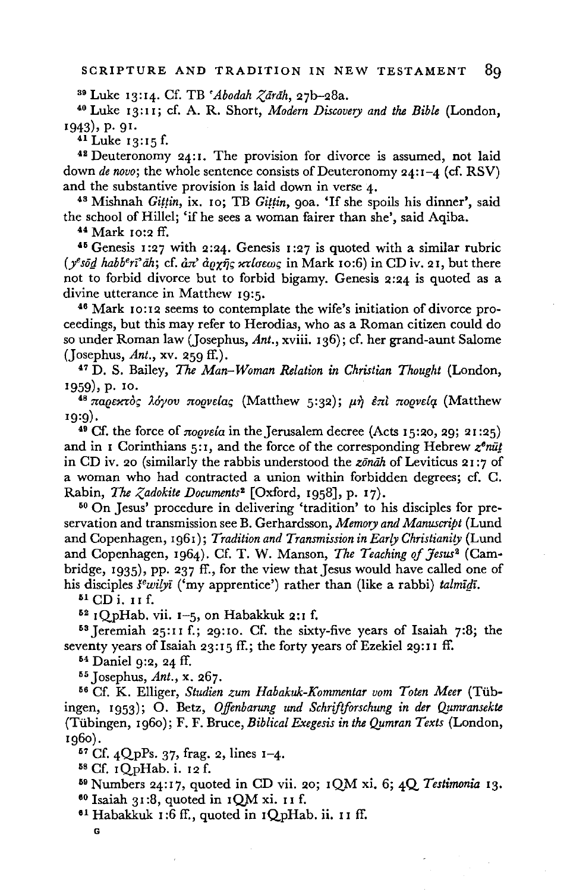<sup>39</sup> Luke 13:14. Cf. TB *'Abodah Zārāh*, 27b-28a.<br><sup>40</sup> Luke 13:11; cf. A. R. Short, *Modern Discovery and the Bible* (London, 1943), p. 91.

 $41$  Luke 13:15 f.

<sup>48</sup>Deuteronomy 24:1. The provision for divorce is assumed, not laid down *de novo*; the whole sentence consists of Deuteronomy 24:1-4 (cf. RSV) and the substantive provision is laid down in verse 4.

<sup>43</sup> Mishnah *Gittin*, ix. 10; TB *Gittin*, 90a. 'If she spoils his dinner', said the school of Hillel; 'if he sees a woman fairer than she', said Aqiba.<br> $44$  Mark 10:2 ff.

<sup>45</sup> Genesis 1:27 with 2:24. Genesis 1:27 is quoted with a similar rubric  $(y^e \circ \bar{g}d \; habb^e \bar{r} \bar{f}d \bar{n}$ ; cf.  $\partial \bar{x}d \bar{g}d \bar{r}d \bar{g}d \bar{r}d \bar{r}d \bar{r}d \bar{r}d \bar{r}d \bar{r}d \bar{r}d \bar{r}d \bar{r}d \bar{r}d \bar{r}d \bar{r}d \bar{r}d \bar{r}d \bar{r}d \bar{r}d \bar{r}d \bar{r}d \bar{r}d \bar{r}d \bar{r}d \bar{r}d \bar{r}d \bar{r}d \bar{r}d \bar{r}$ not to forbid divorce but to forbid bigamy. Genesis 2:24 is quoted as a

<sup>46</sup> Mark 10:12 seems to contemplate the wife's initiation of divorce proceedings, but this may refer to Herodias, who as a Roman citizen could do so under Roman law (Josephus, Ant., xviii. 136); cf. her grand-aunt Salome (Josephus, *Ant.,* xv. 259 ff.).

47 D. S. Bailey, The *Man-Woman Relation in Christian Thought* (London,

<sup>48</sup> παρεκτός λόγου πορνείας (Matthew 5:32); μη επί πορνεία (Matthew <sup>1</sup> 9:9).

<sup>49</sup> Cf. the force of  $\pi_{0}$ *evela* in the Jerusalem decree (Acts 15:20, 29; 21:25) and in 1 Corinthians 5:1, and the force of the corresponding Hebrew  $z^{\phi}n\bar{u}i$ in CD iv. 20 (similarly the rabbis understood the *zonah* of Leviticus 21:7 of a woman who had contracted a union within forbidden degrees; cf. C. Rabin, *The Zadokite Documents*<sup>2</sup> [Oxford, 1958], p. 17).<br><sup>50</sup> On Jesus' procedure in delivering 'tradition' to his disciples for pre-

servation and transmission see B. Gerhardsson, *Memory and Manuscript* (Lund and Copenhagen, 1961); *Tradition and Transmission in Early Christianity* {Lund and Copenhagen, 1964). Cf. T. W. Manson, *The Teaching of Jesus<sup>2</sup>* (Cambridge, 1935), pp. 237 ff., for the view that Jesus would have called one of his disciples *s<sup>e</sup>wilyi* ('my apprentice') rather than (like a rabbi) *talmidi*.

 $$^{51}$  CD i. 11 f.

 $5^2$  1QpHab. vii. 1-5, on Habakkuk 2:1 f.<br> $5^3$  Jeremiah 25:11 f.; 29:10. Cf. the sixty-five years of Isaiah 7:8; the seventy years of Isaiah 23:15 ff.; the forty years of Ezekiel 29:11 ff.

64 Daniel 9:2, 24 ff.

<sup>55</sup> Josephus, *Ant.*, x. 267.<br><sup>56</sup> Cf. K. Elliger, *Studien zum Habakuk-Kommentar vom Toten Meer* (Tübingen, 1953); O. Betz, *Offenbarung und Schriftforschung in der Qumransekte* (Tübingen, 1960); F. F. Bruce, *Biblical Exegesis in the Qumran Texts* (London,

1960). 67 Cf. 4QpPs. 37, frag. 2, lines 1-4. 58 Cf. 1QpHab. i. 12 f. 59 Numbers 24:17, quoted in CD vii. 20; 1QM xi. 6; 4Q *Testimonia* 13.

<sup>60</sup> Isaiah 31:8, quoted in 1QM xi. 11 f.<br><sup>61</sup> Habakkuk 1:6 ff., quoted in 1QpHab. ii. 11 ff.

G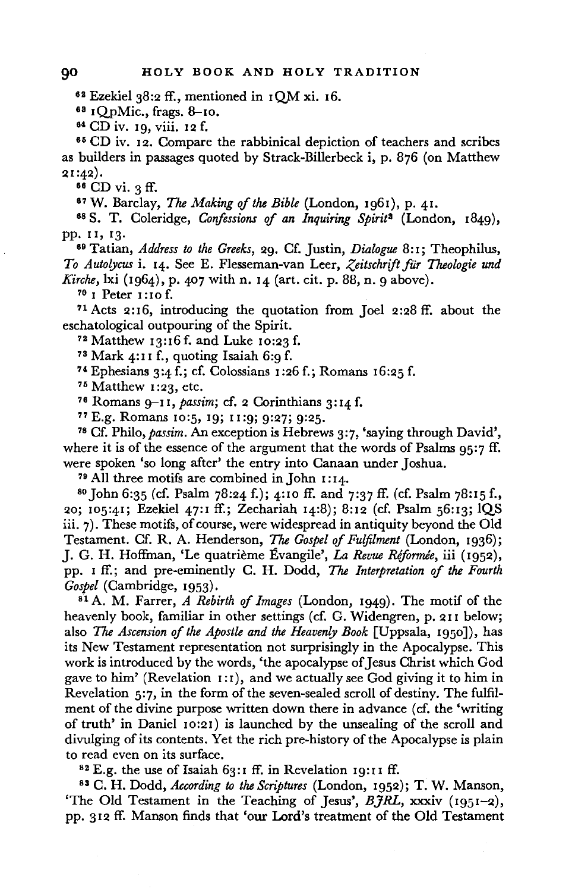62 Ezekiel 38:2 ff., mentioned in 1QM xi. 16.

<sup>63</sup> IQpMic., frags. 8-10.<br><sup>64</sup> CD iv. 19, viii. 12 f.

<sup>65</sup> CD iv. 12. Compare the rabbinical depiction of teachers and scribes as builders in passages quoted by Strack-Billerbeck i, p. 876 (on Matthew 21 :42).

<sup>66</sup> CD vi. 3 ff.<br><sup>67</sup> W. Barclay, *The Making of the Bible* (London, 1961), p. 41.

<sup>67</sup>W. Barclay, *The Making of the Bible* (London, 1961), p. 41. 68 S. T. Coleridge, *Confessions* of *an Inquiring Spirit <sup>2</sup>*(London, 1849), pp. II, 13. 69 Tatian, *Address to the Greeks,* 29. Cf. Justin, *Dialogue* 8: 1; Theophilus,

*To Auto?Jcus* i. 14. See E. Flesseman-van Leer, *Zeitschrift fur Theologie und Kirche,* lxi (1964), p. 407 with **n.** 14 (art. cit. p. 88, n. 9 above).

<sup>70</sup>**1** Peter 1 :10 f.

<sup>71</sup>Acts 2:16, introducing the quotation from Joel 2:28 ff. about the eschatological outpouring of the Spirit.

73 Matthew 13:16 f. and Luke 10:23 **f.** 

74 Ephesians 3:4 f.; cf. Colossians 1:26 f.; Romans 16:25 f.<br><sup>75</sup> Matthew 1:23, etc.

<sup>76</sup> Romans 9–11, *passim*; cf. 2 Corinthians 3:14 f.<br><sup>77</sup> E.g. Romans 10:5, 19; 11:9; 9:27; 9:25.

<sup>78</sup> Cf. Philo, *passim*. An exception is Hebrews 3:7, 'saying through David', where it is of the essence of the argument that the words of Psalms  $95.7 \text{ ff}$ . were spoken 'so long after' the entry into Canaan under Joshua.<br><sup>79</sup> All three motifs are combined in John 1:14.<br><sup>80</sup> John 6:35 (cf. Psalm 78:24 f.); 4:10 ff. and 7:37 ff. (cf. Psalm 78:15 f.,

20; 105:41; Ezekiel 47:1 ff.; Zechariah 14:8); 8:12 (cf. Psalm 56:13; lQS iii. 7). These motifs, of course, were widespread in antiquity beyond the Old Testament. Cf. R. A. Henderson, *The Gospel of Fulfilment* (London, 1936); J. G. H. Hoffman, 'Le quatrieme Evangile', *La Revue Riformee,* iii (1952), pp. I ff.; and pre-eminently C. H. Dodd, *The Interpretation* of *the Fourth Gospel* (Cambridge, 1953). 81 A. M. Farrer, *A Rebirth of Images* (London, 1949). The motif of the

heavenly book, familiar in other settings (cf. G. Widengren, p.211 below; also *The Ascension* of *the Apostle and the Heavenly Book* [Uppsala, 1950]), has its New Testament representation not surprisingly in the Apocalypse. This work is introduced by the words, 'the apocalypse of Jesus Christ which God gave to him' (Revelation  $1:1$ ), and we actually see God giving it to him in Revelation 5:7, in the form of the seven-sealed scroll of destiny. The fulfilment of the divine purpose written down there in advance (cf. the 'writing of truth' in Daniel 10:21) is launched by the unsealing of the scroll and divulging of its contents. Yet the rich pre-history of the Apocalypse is plain to read even on its surface.<br><sup>82</sup> E.g. the use of Isaiah 63:1 ff. in Revelation 19:11 ff.

83 C. H. Dodd, *According to the Scriptures* (London, 1952); T. W. Manson, 'The Old Testament in the Teaching of Jesus', *BJRL,* xxxiv (1951-2), pp. 312 ff. Manson finds that 'our Lord's treatment of the Old Testament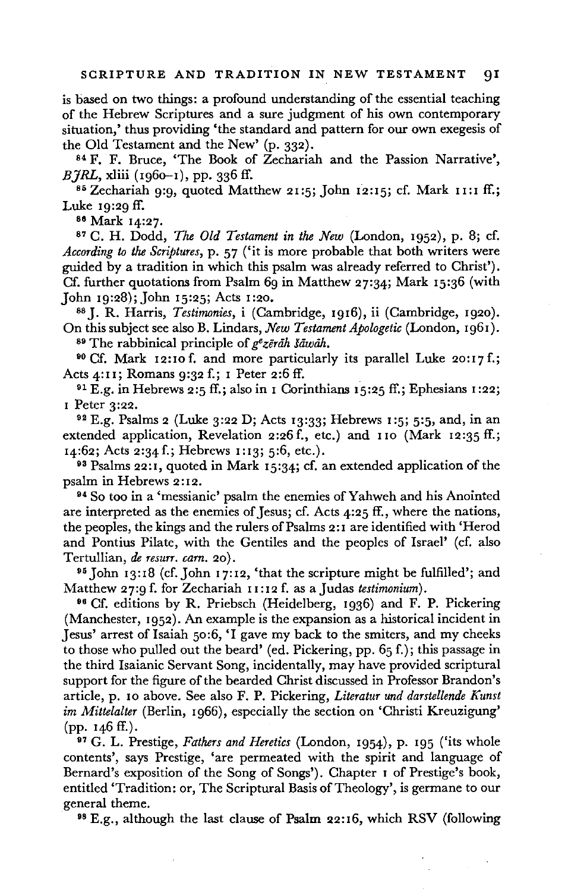is based on two things: a profound understanding of the essential teaching of the Hebrew Scriptures and a sure judgment of his own contemporary situation,' thus providing 'the standard and pattern for our own exegesis of the Old Testament and the New' (p. 332). 84 F. F. Bruce, 'The Book of Zechariah and the Passion Narrative',

*BHRL*, xliii (1960-1), pp. 336 ff.

 $85$  Zechariah 9:9, quoted Matthew 21:5; John 12:15; cf. Mark 11:1 ff.; Luke 19:29 ff.

86 Mark 14:27.

<sup>87</sup>C. H. Dodd, *The Old Testament in the New* (London, 1952), p. 8; cf. *According to the Scriptures,* p. 57 ('it is more probable that both writers were guided by a tradition in which this psalm was already referred to Christ'). Cf. further quotations from Psalm 69 in Matthew 27:34; Mark 15:36 (with John 19:28); John 15:25; Acts 1 :20. 88 J. R. Harris, *Testimonies,* i (Cambridge, 1916), ii (Cambridge, 1920).

On this subject see also B. Lindars, *New Testament Apologetic* (London, 1961). 89 The rabbinical principle of *g•zertih Itiwah.* 

90 Cf. Mark 12:10f. and more particularly its parallel Luke 20:17f.; Acts 4:11; Romans 9:32 f.; 1 Peter 2:6 ff.

<sup>91</sup> E.g. in Hebrews 2:5 ff.; also in I Corinthians  $15:25$  ff.; Ephesians 1:22;

1 Peter 3:22.<br><sup>92</sup> E.g. Psalms 2 (Luke 3:22 D; Acts 13:33; Hebrews 1:5; 5:5, and, in an extended application, Revelation 2:26 f., etc.) and 110 (Mark 12:35 ff.; 14:62; Acts 2:34 f.; Hebrews 1:13; 5:6, etc.).<br><sup>93</sup> Psalms 22:1, quoted in Mark 15:34; cf. an extended application of the

psalm in Hebrews 2:12. 94 So too in a 'messianic' psalm the enemies of Yahweh and his Anointed

are interpreted as the enemies of Jesus; cf. Acts 4:25 ff., where the nations, the peoples, the kings and the rulers of Psalms 2:1 are identified with 'Herod and Pontius Pilate, with the Gentiles and the peoples of Israel' (cf. also Tertullian, *de resurr. cam.* 20). 95 John 13:18 (cf.John 17:12, 'that the scripture might be fulfilled'; and

Matthew 27:9 f. for Zechariah 11 :12 f. as a Judas *testimonium).* 

96 Cf. editions by R. Priebsch (Heidelberg, 1936) and F. P. Pickering (Manchester, 1952). An example is the expansion as a historical incident in Jesus' arrest of Isaiah 50:6, 'I gave my back to the smiters, and my cheeks to those who pulled out the beard' (ed. Pickering, pp. 65 f.); this passage in the third Isaianic Servant Song, incidentally, may have provided scriptural support for the figure of the bearded Christ discussed in Professor Brandon's article, p. 10 above. See also **F. P.** Pickering, *Literatur und darstellende Kunst im Mittelalter* (Berlin, 1966), especially the section on 'Christi Kreuzigung' (pp. 146 ff.).

97 G. L. Prestige, *Fathers and Heretics* (London, 1954), p. 195 ('its whole contents', says Prestige, 'are permeated with the spirit and language of Bernard's exposition of the Song of Songs'). Chapter 1 of Prestige's book, entitled 'Tradition: or, The Scriptural Basis of Theology', is germane to our general theme.<br><sup>98</sup> E.g., although the last clause of Psalm 22:16, which RSV (following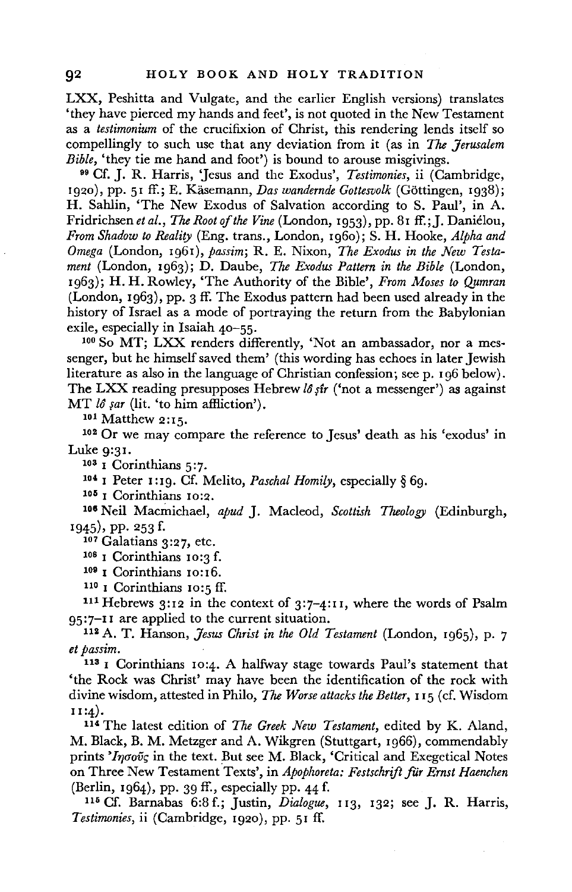**LXX,** Peshitta and Vulgate, and the earlier English versions) translates 'they have pierced my hands and feet', is not quoted in the New Testament as a *testimonium* of the crucifixion of Christ, this rendering lends itself so compellingly to such use that any deviation from it (as in *The Jerusalem Bible*, 'they tie me hand and foot') is bound to arouse misgivings.

<sup>99</sup> Cf. J. R. Harris, 'Jesus and the Exodus', *Testimonies*, *ii* (Cambridge, 1920), pp. 51 ff.; E. Käsemann, *Das wandernde Gottesvolk* (Göttingen, 1938); H. Sahlin, 'The New Exodus of Salvation according to S. Paul', in A. Fridrichsen *et al.,* The *Root of the Vine* (London, 1953), pp. 81 ff.; **J.** Danielou, *From Shadow to Reality* (Eng. trans., London, 1960); S. H. Hooke, *Alpha and Omega* (London, 1961), *passim;* **R.** E. Nixon, *The Exodus in the New Testament* (London, 1963); D. Daube, *The Exodus Pattern in the Bible* (London, 1963); H. H. Rowley, 'The Authority of the Bible', *From Moses to Qumran*  (London, 1963), pp. 3 ff. The Exodus pattern had been used already in the history of Israel as a mode of portraying the return from the Babylonian exile, especially in Isaiah 40-55.<br><sup>100</sup> So MT; LXX renders differently, 'Not an ambassador, nor a mes-

senger, but he himself saved them' (this wording has echoes in later Jewish literature as also in the language of Christian confession; see p. 196 below). The LXX reading presupposes Hebrew *lô șîr* ('not a messenger') as against MT *lô sar* (lit. 'to him affliction').<br><sup>101</sup> Matthew 2:15.<br><sup>102</sup> Or we may compare the reference to Jesus' death as his 'exodus' in

Luke 9:31.<br><sup>103</sup> <sup>1</sup> Corinthians 5:7.<br><sup>104</sup> <sup>1</sup> Peter 1:19. Cf. Melito, *Paschal Homily*, especially § 69.<br><sup>105</sup> <sup>1</sup> Corinthians 10:2.

106 Neil Macmichael, *apud* J. Macleod, *Scottish Theology* (Edinburgh, 1945), pp. 253 f.

107 Galatians 3:27, etc.

10s I Corinthians 10:3 f.

<sup>109</sup> I Corinthians 10:16.<br><sup>110</sup> I Corinthians 10:5 ff.<br><sup>111</sup> Hebrews 3:12 in the context of 3:7-4:11, where the words of Psalm 95:7-11 are applied to the current situation. 112 A. T. Hanson, *Jesus Christ in the Old Testament* (London, 1965), p. 7

*et passim.* 

113 1 Corinthians 10:4. A halfway stage towards Paul's statement that 'the Rock was Christ' may have been the identification of the rock with divine wisdom, attested in Philo, The *Worse attacks the Better,* 1 15 ( cf. Wisdom **u:4).** 

114 The latest edition of *The Greek New Testament,* edited by K. Aland, M. Black, B. M. Metzger and A. Wikgren (Stuttgart, 1966), commendably prints ' $I_{\eta\sigma o\tilde{v}_S}$  in the text. But see M. Black, 'Critical and Exegetical Notes on Three New Testament Texts', in *Apophoreta: Festschrift far Ernst Haenchen*  (Berlin, 1964), pp. 39 ff., especially pp. 44 f. 115 Cf. Barnabas 6:8 f.; Justin, *Dialogue,* 113, 132; see J. R. Harris,

*Testimonies,* ii (Cambridge, 1920), pp. 51 ff.